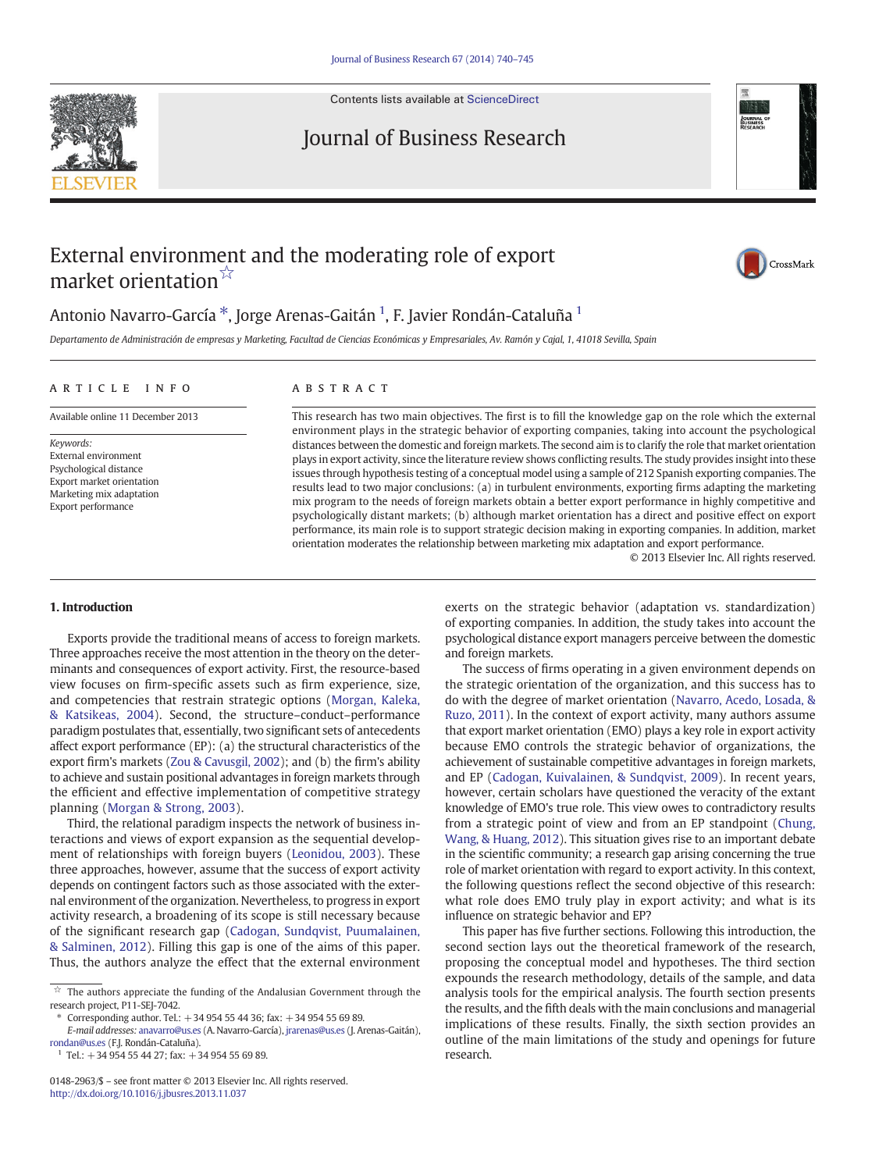Contents lists available at [ScienceDirect](http://www.sciencedirect.com/science/journal/01482963)







## External environment and the moderating role of export market orientation☆



### Antonio Navarro-García \*, Jorge Arenas-Gaitán <sup>1</sup>, F. Javier Rondán-Cataluña <sup>1</sup>

Departamento de Administración de empresas y Marketing, Facultad de Ciencias Económicas y Empresariales, Av. Ramón y Cajal, 1, 41018 Sevilla, Spain

#### article info abstract

Available online 11 December 2013

Keywords: External environment Psychological distance Export market orientation Marketing mix adaptation Export performance

This research has two main objectives. The first is to fill the knowledge gap on the role which the external environment plays in the strategic behavior of exporting companies, taking into account the psychological distances between the domestic and foreign markets. The second aim is to clarify the role that market orientation plays in export activity, since the literature review shows conflicting results. The study provides insight into these issues through hypothesis testing of a conceptual model using a sample of 212 Spanish exporting companies. The results lead to two major conclusions: (a) in turbulent environments, exporting firms adapting the marketing mix program to the needs of foreign markets obtain a better export performance in highly competitive and psychologically distant markets; (b) although market orientation has a direct and positive effect on export performance, its main role is to support strategic decision making in exporting companies. In addition, market orientation moderates the relationship between marketing mix adaptation and export performance.

© 2013 Elsevier Inc. All rights reserved.

#### 1. Introduction

Exports provide the traditional means of access to foreign markets. Three approaches receive the most attention in the theory on the determinants and consequences of export activity. First, the resource-based view focuses on firm-specific assets such as firm experience, size, and competencies that restrain strategic options ([Morgan, Kaleka,](#page--1-0) [& Katsikeas, 2004](#page--1-0)). Second, the structure–conduct–performance paradigm postulates that, essentially, two significant sets of antecedents affect export performance (EP): (a) the structural characteristics of the export firm's markets ([Zou & Cavusgil, 2002\)](#page--1-0); and (b) the firm's ability to achieve and sustain positional advantages in foreign markets through the efficient and effective implementation of competitive strategy planning ([Morgan & Strong, 2003\)](#page--1-0).

Third, the relational paradigm inspects the network of business interactions and views of export expansion as the sequential development of relationships with foreign buyers ([Leonidou, 2003](#page--1-0)). These three approaches, however, assume that the success of export activity depends on contingent factors such as those associated with the external environment of the organization. Nevertheless, to progress in export activity research, a broadening of its scope is still necessary because of the significant research gap ([Cadogan, Sundqvist, Puumalainen,](#page--1-0) [& Salminen, 2012](#page--1-0)). Filling this gap is one of the aims of this paper. Thus, the authors analyze the effect that the external environment exerts on the strategic behavior (adaptation vs. standardization) of exporting companies. In addition, the study takes into account the psychological distance export managers perceive between the domestic and foreign markets.

The success of firms operating in a given environment depends on the strategic orientation of the organization, and this success has to do with the degree of market orientation [\(Navarro, Acedo, Losada, &](#page--1-0) [Ruzo, 2011\)](#page--1-0). In the context of export activity, many authors assume that export market orientation (EMO) plays a key role in export activity because EMO controls the strategic behavior of organizations, the achievement of sustainable competitive advantages in foreign markets, and EP ([Cadogan, Kuivalainen, & Sundqvist, 2009\)](#page--1-0). In recent years, however, certain scholars have questioned the veracity of the extant knowledge of EMO's true role. This view owes to contradictory results from a strategic point of view and from an EP standpoint [\(Chung,](#page--1-0) [Wang, & Huang, 2012\)](#page--1-0). This situation gives rise to an important debate in the scientific community; a research gap arising concerning the true role of market orientation with regard to export activity. In this context, the following questions reflect the second objective of this research: what role does EMO truly play in export activity; and what is its influence on strategic behavior and EP?

This paper has five further sections. Following this introduction, the second section lays out the theoretical framework of the research, proposing the conceptual model and hypotheses. The third section expounds the research methodology, details of the sample, and data analysis tools for the empirical analysis. The fourth section presents the results, and the fifth deals with the main conclusions and managerial implications of these results. Finally, the sixth section provides an outline of the main limitations of the study and openings for future research.

The authors appreciate the funding of the Andalusian Government through the research project, P11-SEJ-7042.

<sup>⁎</sup> Corresponding author. Tel.: +34 954 55 44 36; fax: +34 954 55 69 89.

E-mail addresses: [anavarro@us.es](mailto:anavarro@us.es) (A. Navarro-García), [jrarenas@us.es](mailto:jrarenas@us.es) (J. Arenas-Gaitán), [rondan@us.es](mailto:rondan@us.es) (F.J. Rondán-Cataluña).

 $1$  Tel.: +34 954 55 44 27; fax: +34 954 55 69 89.

<sup>0148-2963/\$</sup> – see front matter © 2013 Elsevier Inc. All rights reserved. <http://dx.doi.org/10.1016/j.jbusres.2013.11.037>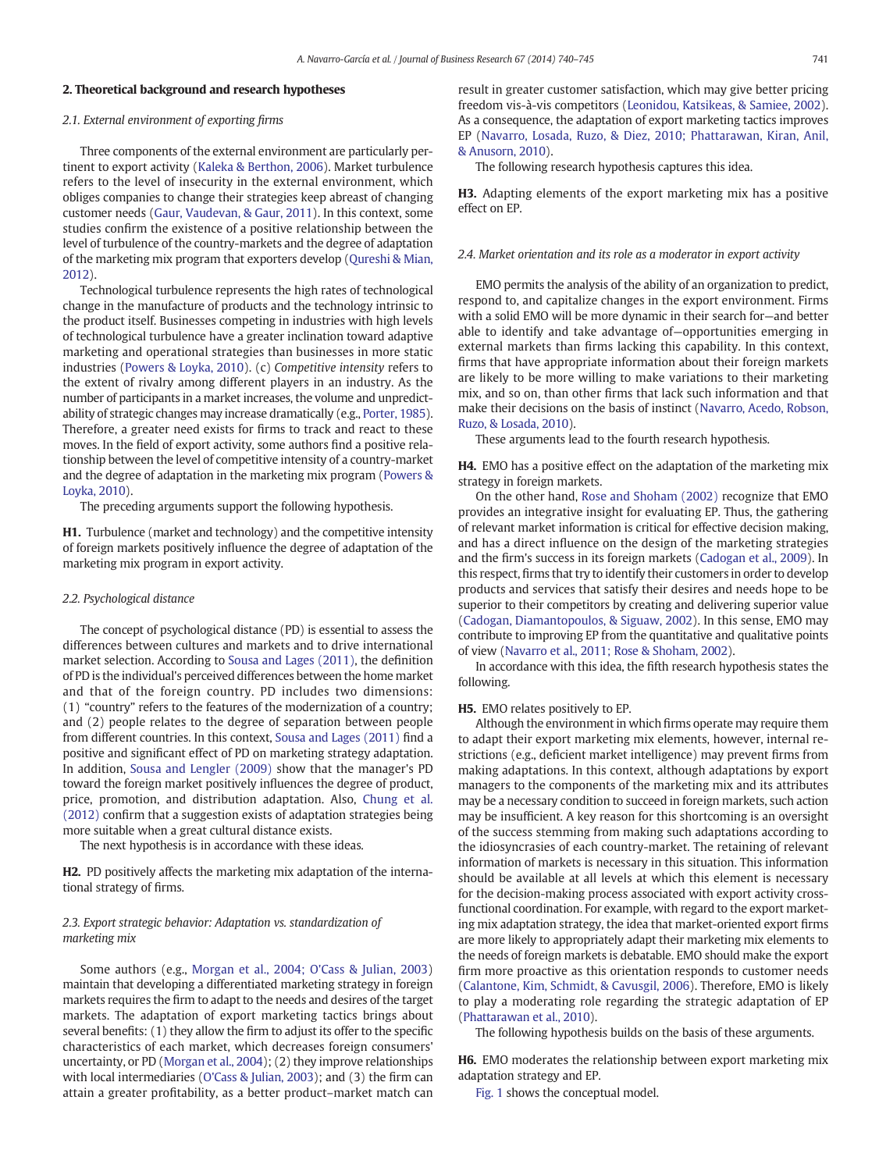#### 2. Theoretical background and research hypotheses

#### 2.1. External environment of exporting firms

Three components of the external environment are particularly pertinent to export activity [\(Kaleka & Berthon, 2006](#page--1-0)). Market turbulence refers to the level of insecurity in the external environment, which obliges companies to change their strategies keep abreast of changing customer needs ([Gaur, Vaudevan, & Gaur, 2011\)](#page--1-0). In this context, some studies confirm the existence of a positive relationship between the level of turbulence of the country-markets and the degree of adaptation of the marketing mix program that exporters develop ([Qureshi & Mian,](#page--1-0) [2012](#page--1-0)).

Technological turbulence represents the high rates of technological change in the manufacture of products and the technology intrinsic to the product itself. Businesses competing in industries with high levels of technological turbulence have a greater inclination toward adaptive marketing and operational strategies than businesses in more static industries ([Powers & Loyka, 2010](#page--1-0)). (c) Competitive intensity refers to the extent of rivalry among different players in an industry. As the number of participants in a market increases, the volume and unpredictability of strategic changes may increase dramatically (e.g., [Porter, 1985](#page--1-0)). Therefore, a greater need exists for firms to track and react to these moves. In the field of export activity, some authors find a positive relationship between the level of competitive intensity of a country-market and the degree of adaptation in the marketing mix program [\(Powers &](#page--1-0) [Loyka, 2010\)](#page--1-0).

The preceding arguments support the following hypothesis.

H1. Turbulence (market and technology) and the competitive intensity of foreign markets positively influence the degree of adaptation of the marketing mix program in export activity.

#### 2.2. Psychological distance

The concept of psychological distance (PD) is essential to assess the differences between cultures and markets and to drive international market selection. According to [Sousa and Lages \(2011\)](#page--1-0), the definition of PD is the individual's perceived differences between the home market and that of the foreign country. PD includes two dimensions: (1) "country" refers to the features of the modernization of a country; and (2) people relates to the degree of separation between people from different countries. In this context, [Sousa and Lages \(2011\)](#page--1-0) find a positive and significant effect of PD on marketing strategy adaptation. In addition, [Sousa and Lengler \(2009\)](#page--1-0) show that the manager's PD toward the foreign market positively influences the degree of product, price, promotion, and distribution adaptation. Also, [Chung et al.](#page--1-0) [\(2012\)](#page--1-0) confirm that a suggestion exists of adaptation strategies being more suitable when a great cultural distance exists.

The next hypothesis is in accordance with these ideas.

H2. PD positively affects the marketing mix adaptation of the international strategy of firms.

#### 2.3. Export strategic behavior: Adaptation vs. standardization of marketing mix

Some authors (e.g., [Morgan et al., 2004; O'Cass & Julian, 2003](#page--1-0)) maintain that developing a differentiated marketing strategy in foreign markets requires the firm to adapt to the needs and desires of the target markets. The adaptation of export marketing tactics brings about several benefits: (1) they allow the firm to adjust its offer to the specific characteristics of each market, which decreases foreign consumers' uncertainty, or PD [\(Morgan et al., 2004](#page--1-0)); (2) they improve relationships with local intermediaries ([O'Cass & Julian, 2003](#page--1-0)); and (3) the firm can attain a greater profitability, as a better product–market match can

result in greater customer satisfaction, which may give better pricing freedom vis-à-vis competitors [\(Leonidou, Katsikeas, & Samiee, 2002](#page--1-0)). As a consequence, the adaptation of export marketing tactics improves EP [\(Navarro, Losada, Ruzo, & Diez, 2010; Phattarawan, Kiran, Anil,](#page--1-0) [& Anusorn, 2010\)](#page--1-0).

The following research hypothesis captures this idea.

H3. Adapting elements of the export marketing mix has a positive effect on EP.

#### 2.4. Market orientation and its role as a moderator in export activity

EMO permits the analysis of the ability of an organization to predict, respond to, and capitalize changes in the export environment. Firms with a solid EMO will be more dynamic in their search for—and better able to identify and take advantage of—opportunities emerging in external markets than firms lacking this capability. In this context, firms that have appropriate information about their foreign markets are likely to be more willing to make variations to their marketing mix, and so on, than other firms that lack such information and that make their decisions on the basis of instinct [\(Navarro, Acedo, Robson,](#page--1-0) [Ruzo, & Losada, 2010](#page--1-0)).

These arguments lead to the fourth research hypothesis.

H4. EMO has a positive effect on the adaptation of the marketing mix strategy in foreign markets.

On the other hand, [Rose and Shoham \(2002\)](#page--1-0) recognize that EMO provides an integrative insight for evaluating EP. Thus, the gathering of relevant market information is critical for effective decision making, and has a direct influence on the design of the marketing strategies and the firm's success in its foreign markets [\(Cadogan et al., 2009\)](#page--1-0). In this respect, firms that try to identify their customers in order to develop products and services that satisfy their desires and needs hope to be superior to their competitors by creating and delivering superior value [\(Cadogan, Diamantopoulos, & Siguaw, 2002](#page--1-0)). In this sense, EMO may contribute to improving EP from the quantitative and qualitative points of view [\(Navarro et al., 2011; Rose & Shoham, 2002](#page--1-0)).

In accordance with this idea, the fifth research hypothesis states the following.

#### H5. EMO relates positively to EP.

Although the environment in which firms operate may require them to adapt their export marketing mix elements, however, internal restrictions (e.g., deficient market intelligence) may prevent firms from making adaptations. In this context, although adaptations by export managers to the components of the marketing mix and its attributes may be a necessary condition to succeed in foreign markets, such action may be insufficient. A key reason for this shortcoming is an oversight of the success stemming from making such adaptations according to the idiosyncrasies of each country-market. The retaining of relevant information of markets is necessary in this situation. This information should be available at all levels at which this element is necessary for the decision-making process associated with export activity crossfunctional coordination. For example, with regard to the export marketing mix adaptation strategy, the idea that market-oriented export firms are more likely to appropriately adapt their marketing mix elements to the needs of foreign markets is debatable. EMO should make the export firm more proactive as this orientation responds to customer needs [\(Calantone, Kim, Schmidt, & Cavusgil, 2006](#page--1-0)). Therefore, EMO is likely to play a moderating role regarding the strategic adaptation of EP [\(Phattarawan et al., 2010\)](#page--1-0).

The following hypothesis builds on the basis of these arguments.

H6. EMO moderates the relationship between export marketing mix adaptation strategy and EP.

[Fig. 1](#page--1-0) shows the conceptual model.